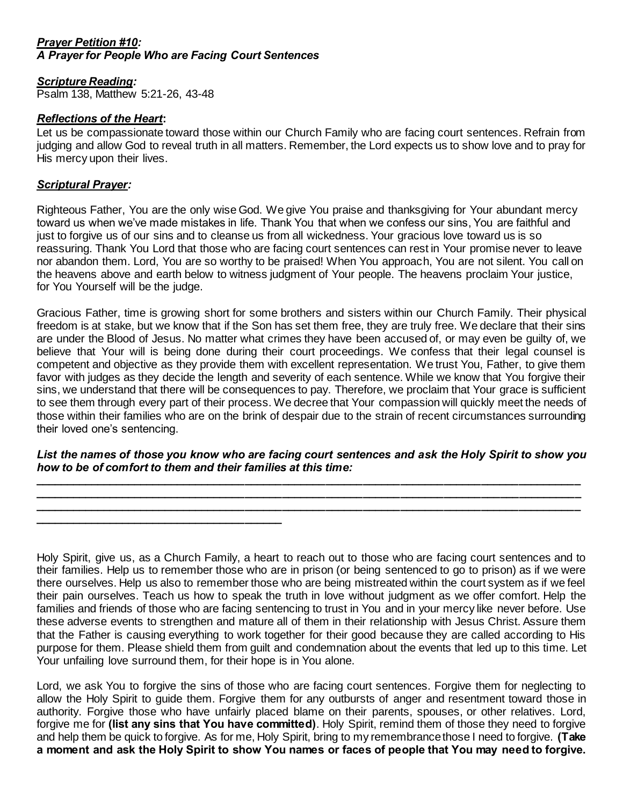## *Prayer Petition #10: A Prayer for People Who are Facing Court Sentences*

**\_\_\_\_\_\_\_\_\_\_\_\_\_\_\_\_\_\_\_\_\_\_\_\_\_\_\_\_\_\_\_\_\_\_\_\_\_\_\_\_**

# *Scripture Reading:*

Psalm 138, Matthew 5:21-26, 43-48

## *Reflections of the Heart***:**

Let us be compassionate toward those within our Church Family who are facing court sentences. Refrain from judging and allow God to reveal truth in all matters. Remember, the Lord expects us to show love and to pray for His mercy upon their lives.

# *Scriptural Prayer:*

Righteous Father, You are the only wise God. We give You praise and thanksgiving for Your abundant mercy toward us when we've made mistakes in life. Thank You that when we confess our sins, You are faithful and just to forgive us of our sins and to cleanse us from all wickedness. Your gracious love toward us is so reassuring. Thank You Lord that those who are facing court sentences can rest in Your promise never to leave nor abandon them. Lord, You are so worthy to be praised! When You approach, You are not silent. You call on the heavens above and earth below to witness judgment of Your people. The heavens proclaim Your justice, for You Yourself will be the judge.

Gracious Father, time is growing short for some brothers and sisters within our Church Family. Their physical freedom is at stake, but we know that if the Son has set them free, they are truly free. We declare that their sins are under the Blood of Jesus. No matter what crimes they have been accused of, or may even be guilty of, we believe that Your will is being done during their court proceedings. We confess that their legal counsel is competent and objective as they provide them with excellent representation. We trust You, Father, to give them favor with judges as they decide the length and severity of each sentence. While we know that You forgive their sins, we understand that there will be consequences to pay. Therefore, we proclaim that Your grace is sufficient to see them through every part of their process. We decree that Your compassion will quickly meet the needs of those within their families who are on the brink of despair due to the strain of recent circumstances surrounding their loved one's sentencing.

#### *List the names of those you know who are facing court sentences and ask the Holy Spirit to show you how to be of comfort to them and their families at this time:* **\_\_\_\_\_\_\_\_\_\_\_\_\_\_\_\_\_\_\_\_\_\_\_\_\_\_\_\_\_\_\_\_\_\_\_\_\_\_\_\_\_\_\_\_\_\_\_\_\_\_\_\_\_\_\_\_\_\_\_\_\_\_\_\_\_\_\_\_\_\_\_\_\_\_\_\_\_\_\_\_\_\_\_\_\_\_\_\_**

**\_\_\_\_\_\_\_\_\_\_\_\_\_\_\_\_\_\_\_\_\_\_\_\_\_\_\_\_\_\_\_\_\_\_\_\_\_\_\_\_\_\_\_\_\_\_\_\_\_\_\_\_\_\_\_\_\_\_\_\_\_\_\_\_\_\_\_\_\_\_\_\_\_\_\_\_\_\_\_\_\_\_\_\_\_\_\_\_ \_\_\_\_\_\_\_\_\_\_\_\_\_\_\_\_\_\_\_\_\_\_\_\_\_\_\_\_\_\_\_\_\_\_\_\_\_\_\_\_\_\_\_\_\_\_\_\_\_\_\_\_\_\_\_\_\_\_\_\_\_\_\_\_\_\_\_\_\_\_\_\_\_\_\_\_\_\_\_\_\_\_\_\_\_\_\_\_**

Holy Spirit, give us, as a Church Family, a heart to reach out to those who are facing court sentences and to their families. Help us to remember those who are in prison (or being sentenced to go to prison) as if we were there ourselves. Help us also to remember those who are being mistreated within the court system as if we feel their pain ourselves. Teach us how to speak the truth in love without judgment as we offer comfort. Help the families and friends of those who are facing sentencing to trust in You and in your mercy like never before. Use these adverse events to strengthen and mature all of them in their relationship with Jesus Christ. Assure them that the Father is causing everything to work together for their good because they are called according to His purpose for them. Please shield them from guilt and condemnation about the events that led up to this time. Let Your unfailing love surround them, for their hope is in You alone.

Lord, we ask You to forgive the sins of those who are facing court sentences. Forgive them for neglecting to allow the Holy Spirit to guide them. Forgive them for any outbursts of anger and resentment toward those in authority. Forgive those who have unfairly placed blame on their parents, spouses, or other relatives. Lord, forgive me for **(list any sins that You have committed)**. Holy Spirit, remind them of those they need to forgive and help them be quick to forgive. As for me, Holy Spirit, bring to my remembrance those I need to forgive. **(Take a moment and ask the Holy Spirit to show You names or faces of people that You may need to forgive.**